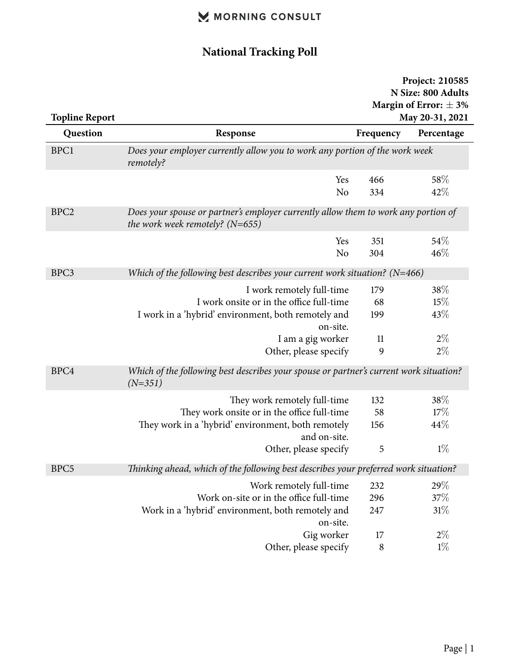## **National Tracking Poll**

|                       |                                                                                                                           | Project: 210585                                 |                 |
|-----------------------|---------------------------------------------------------------------------------------------------------------------------|-------------------------------------------------|-----------------|
|                       |                                                                                                                           | N Size: 800 Adults<br>Margin of Error: $\pm$ 3% |                 |
| <b>Topline Report</b> |                                                                                                                           |                                                 | May 20-31, 2021 |
| Question              | Response                                                                                                                  | Frequency                                       | Percentage      |
| BPC1                  | Does your employer currently allow you to work any portion of the work week<br>remotely?                                  |                                                 |                 |
|                       | Yes                                                                                                                       | 466                                             | 58\%            |
|                       | N <sub>o</sub>                                                                                                            | 334                                             | 42\%            |
| BPC <sub>2</sub>      | Does your spouse or partner's employer currently allow them to work any portion of<br>the work week remotely? ( $N=655$ ) |                                                 |                 |
|                       | Yes                                                                                                                       | 351                                             | 54%             |
|                       | N <sub>o</sub>                                                                                                            | 304                                             | 46%             |
| BPC3                  | Which of the following best describes your current work situation? ( $N=466$ )                                            |                                                 |                 |
|                       | I work remotely full-time                                                                                                 | 179                                             | 38%             |
|                       | I work onsite or in the office full-time                                                                                  | 68                                              | 15%             |
|                       | I work in a 'hybrid' environment, both remotely and                                                                       | 199                                             | 43%             |
|                       | on-site.                                                                                                                  |                                                 |                 |
|                       | I am a gig worker                                                                                                         | 11<br>9                                         | $2\%$<br>$2\%$  |
|                       | Other, please specify                                                                                                     |                                                 |                 |
| BPC4                  | Which of the following best describes your spouse or partner's current work situation?<br>$(N=351)$                       |                                                 |                 |
|                       | They work remotely full-time                                                                                              | 132                                             | 38%             |
|                       | They work onsite or in the office full-time                                                                               | 58                                              | 17%             |
|                       | They work in a 'hybrid' environment, both remotely                                                                        | 156                                             | 44\%            |
|                       | and on-site.                                                                                                              |                                                 |                 |
|                       | Other, please specify                                                                                                     | 5                                               | $1\%$           |
| BPC <sub>5</sub>      | Thinking ahead, which of the following best describes your preferred work situation?                                      |                                                 |                 |
|                       | Work remotely full-time                                                                                                   | 232                                             | 29%             |
|                       | Work on-site or in the office full-time                                                                                   | 296                                             | 37%             |
|                       | Work in a 'hybrid' environment, both remotely and                                                                         | 247                                             | 31%             |
|                       | on-site.                                                                                                                  |                                                 |                 |
|                       | Gig worker                                                                                                                | 17                                              | $2\%$           |
|                       | Other, please specify                                                                                                     | $\boldsymbol{8}$                                | $1\%$           |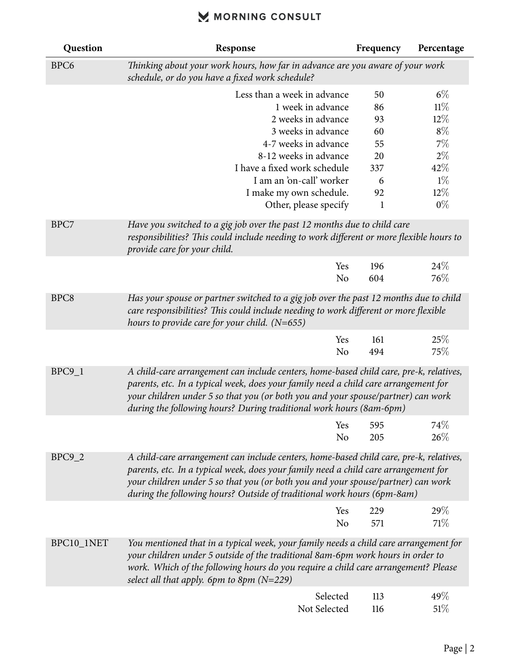| Question         | Response                                                                                                                                                                                                                                                                                                                                     | Frequency  | Percentage    |
|------------------|----------------------------------------------------------------------------------------------------------------------------------------------------------------------------------------------------------------------------------------------------------------------------------------------------------------------------------------------|------------|---------------|
| BPC <sub>6</sub> | Thinking about your work hours, how far in advance are you aware of your work<br>schedule, or do you have a fixed work schedule?                                                                                                                                                                                                             |            |               |
|                  | Less than a week in advance                                                                                                                                                                                                                                                                                                                  | 50         | $6\%$         |
|                  | 1 week in advance                                                                                                                                                                                                                                                                                                                            | 86         | 11%           |
|                  | 2 weeks in advance                                                                                                                                                                                                                                                                                                                           | 93         | $12\%$        |
|                  | 3 weeks in advance                                                                                                                                                                                                                                                                                                                           | 60         | $8\%$         |
|                  | 4-7 weeks in advance                                                                                                                                                                                                                                                                                                                         | 55         | 7%            |
|                  | 8-12 weeks in advance                                                                                                                                                                                                                                                                                                                        | 20         | $2\%$         |
|                  | I have a fixed work schedule                                                                                                                                                                                                                                                                                                                 | 337        | 42%           |
|                  | I am an 'on-call' worker                                                                                                                                                                                                                                                                                                                     | 6          | $1\%$         |
|                  | I make my own schedule.                                                                                                                                                                                                                                                                                                                      | 92         | $12\%$        |
|                  | Other, please specify                                                                                                                                                                                                                                                                                                                        | 1          | $0\%$         |
| BPC7             | Have you switched to a gig job over the past 12 months due to child care<br>responsibilities? This could include needing to work different or more flexible hours to<br>provide care for your child.                                                                                                                                         |            |               |
|                  | Yes                                                                                                                                                                                                                                                                                                                                          | 196        | 24\%          |
|                  | N <sub>o</sub>                                                                                                                                                                                                                                                                                                                               | 604        | 76%           |
| BPC8             | Has your spouse or partner switched to a gig job over the past 12 months due to child<br>care responsibilities? This could include needing to work different or more flexible<br>hours to provide care for your child. $(N=655)$                                                                                                             |            |               |
|                  | Yes<br>N <sub>o</sub>                                                                                                                                                                                                                                                                                                                        | 161<br>494 | 25%<br>75%    |
| BPC9_1           | A child-care arrangement can include centers, home-based child care, pre-k, relatives,<br>parents, etc. In a typical week, does your family need a child care arrangement for<br>your children under 5 so that you (or both you and your spouse/partner) can work<br>during the following hours? During traditional work hours (8am-6pm)     |            |               |
|                  | Yes<br>N <sub>o</sub>                                                                                                                                                                                                                                                                                                                        | 595<br>205 | $74\%$<br>26% |
| BPC9_2           | A child-care arrangement can include centers, home-based child care, pre-k, relatives,<br>parents, etc. In a typical week, does your family need a child care arrangement for<br>your children under 5 so that you (or both you and your spouse/partner) can work<br>during the following hours? Outside of traditional work hours (6pm-8am) |            |               |
|                  | Yes<br>N <sub>o</sub>                                                                                                                                                                                                                                                                                                                        | 229<br>571 | 29%<br>71\%   |
| BPC10_1NET       | You mentioned that in a typical week, your family needs a child care arrangement for<br>your children under 5 outside of the traditional 8am-6pm work hours in order to<br>work. Which of the following hours do you require a child care arrangement? Please<br>select all that apply. 6pm to 8pm $(N=229)$                                 |            |               |
|                  | Selected<br>Not Selected                                                                                                                                                                                                                                                                                                                     | 113<br>116 | 49%<br>51\%   |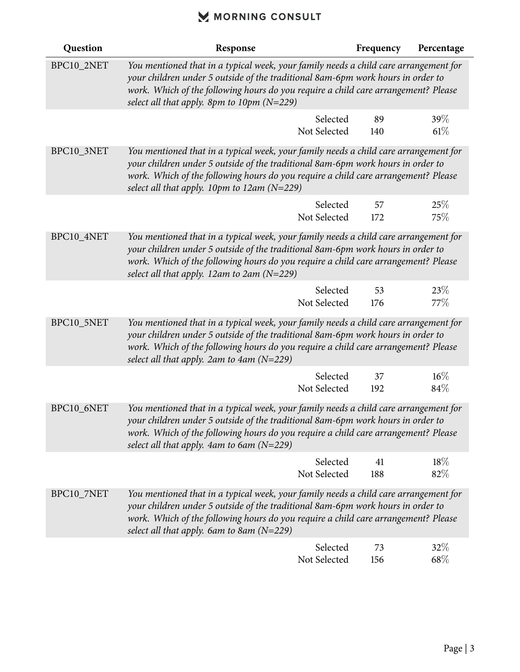| Question   | Response                                                                                                                                                                                                                                                                                                           | Frequency | Percentage    |
|------------|--------------------------------------------------------------------------------------------------------------------------------------------------------------------------------------------------------------------------------------------------------------------------------------------------------------------|-----------|---------------|
| BPC10_2NET | You mentioned that in a typical week, your family needs a child care arrangement for<br>your children under 5 outside of the traditional 8am-6pm work hours in order to<br>work. Which of the following hours do you require a child care arrangement? Please<br>select all that apply. 8pm to 10pm $(N=229)$      |           |               |
|            | Selected<br>Not Selected                                                                                                                                                                                                                                                                                           | 89<br>140 | 39%<br>$61\%$ |
| BPC10_3NET | You mentioned that in a typical week, your family needs a child care arrangement for<br>your children under 5 outside of the traditional 8am-6pm work hours in order to<br>work. Which of the following hours do you require a child care arrangement? Please<br>select all that apply. 10pm to 12am ( $N=229$ )   |           |               |
|            | Selected<br>Not Selected                                                                                                                                                                                                                                                                                           | 57<br>172 | 25%<br>75%    |
| BPC10_4NET | You mentioned that in a typical week, your family needs a child care arrangement for<br>your children under 5 outside of the traditional 8am-6pm work hours in order to<br>work. Which of the following hours do you require a child care arrangement? Please<br>select all that apply. 12am to 2am ( $N=229$ )    |           |               |
|            | Selected<br>Not Selected                                                                                                                                                                                                                                                                                           | 53<br>176 | 23%<br>77\%   |
| BPC10_5NET | You mentioned that in a typical week, your family needs a child care arrangement for<br>your children under 5 outside of the traditional 8am-6pm work hours in order to<br>work. Which of the following hours do you require a child care arrangement? Please<br>select all that apply. 2am to 4am (N=229)         |           |               |
|            | Selected<br>Not Selected                                                                                                                                                                                                                                                                                           | 37<br>192 | 16%<br>$84\%$ |
| BPC10_6NET | You mentioned that in a typical week, your family needs a child care arrangement for<br>your children under 5 outside of the traditional 8am-6pm work hours in order to<br>work. Which of the following hours do you require a child care arrangement? Please<br>select all that apply. $4am$ to $6am$ ( $N=229$ ) |           |               |
|            | Selected<br>Not Selected                                                                                                                                                                                                                                                                                           | 41<br>188 | $18\%$<br>82% |
| BPC10_7NET | You mentioned that in a typical week, your family needs a child care arrangement for<br>your children under 5 outside of the traditional 8am-6pm work hours in order to<br>work. Which of the following hours do you require a child care arrangement? Please<br>select all that apply. 6am to 8am $(N=229)$       |           |               |
|            | Selected<br>Not Selected                                                                                                                                                                                                                                                                                           | 73<br>156 | 32%<br>68%    |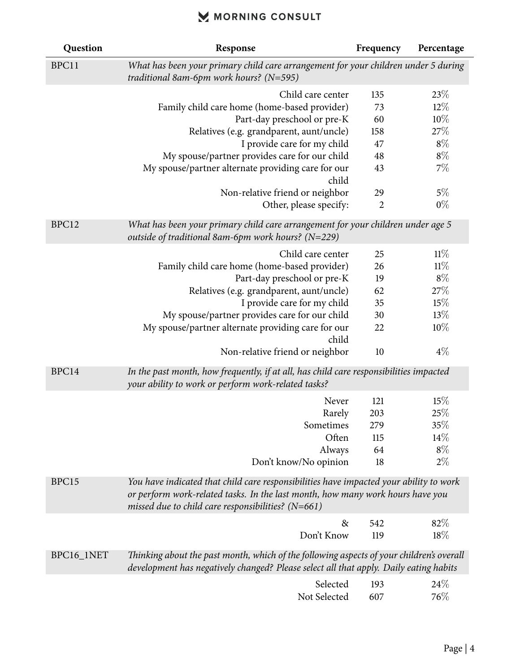| Question   | Response                                                                                                                                                                                                                           | Frequency      | Percentage |
|------------|------------------------------------------------------------------------------------------------------------------------------------------------------------------------------------------------------------------------------------|----------------|------------|
| BPC11      | What has been your primary child care arrangement for your children under 5 during<br>traditional 8am-6pm work hours? ( $N=595$ )                                                                                                  |                |            |
|            | Child care center                                                                                                                                                                                                                  | 135            | 23%        |
|            | Family child care home (home-based provider)                                                                                                                                                                                       | 73             | $12\%$     |
|            | Part-day preschool or pre-K                                                                                                                                                                                                        | 60             | $10\%$     |
|            | Relatives (e.g. grandparent, aunt/uncle)                                                                                                                                                                                           | 158            | $27\%$     |
|            | I provide care for my child                                                                                                                                                                                                        | 47             | $8\%$      |
|            | My spouse/partner provides care for our child                                                                                                                                                                                      | 48             | $8\%$      |
|            | My spouse/partner alternate providing care for our<br>child                                                                                                                                                                        | 43             | 7%         |
|            | Non-relative friend or neighbor                                                                                                                                                                                                    | 29             | $5\%$      |
|            | Other, please specify:                                                                                                                                                                                                             | $\overline{2}$ | $0\%$      |
| BPC12      | What has been your primary child care arrangement for your children under age 5<br>outside of traditional 8am-6pm work hours? ( $N=229$ )                                                                                          |                |            |
|            | Child care center                                                                                                                                                                                                                  | 25             | $11\%$     |
|            | Family child care home (home-based provider)                                                                                                                                                                                       | 26             | 11%        |
|            | Part-day preschool or pre-K                                                                                                                                                                                                        | 19             | $8\%$      |
|            | Relatives (e.g. grandparent, aunt/uncle)                                                                                                                                                                                           | 62             | 27%        |
|            | I provide care for my child                                                                                                                                                                                                        | 35             | 15%        |
|            | My spouse/partner provides care for our child                                                                                                                                                                                      | 30             | 13%        |
|            | My spouse/partner alternate providing care for our<br>child                                                                                                                                                                        | 22             | 10%        |
|            | Non-relative friend or neighbor                                                                                                                                                                                                    | 10             | $4\%$      |
| BPC14      | In the past month, how frequently, if at all, has child care responsibilities impacted<br>your ability to work or perform work-related tasks?                                                                                      |                |            |
|            | Never                                                                                                                                                                                                                              | 121            | 15%        |
|            | Rarely                                                                                                                                                                                                                             | 203            | 25%        |
|            | Sometimes                                                                                                                                                                                                                          | 279            | 35%        |
|            | Often                                                                                                                                                                                                                              | 115            | $14\%$     |
|            | Always                                                                                                                                                                                                                             | 64             | $8\%$      |
|            | Don't know/No opinion                                                                                                                                                                                                              | 18             | $2\%$      |
| BPC15      | You have indicated that child care responsibilities have impacted your ability to work<br>or perform work-related tasks. In the last month, how many work hours have you<br>missed due to child care responsibilities? ( $N=661$ ) |                |            |
|            | $\&$                                                                                                                                                                                                                               | 542            | 82%        |
|            | Don't Know                                                                                                                                                                                                                         | 119            | $18\%$     |
| BPC16_1NET | Thinking about the past month, which of the following aspects of your children's overall<br>development has negatively changed? Please select all that apply. Daily eating habits                                                  |                |            |
|            | Selected                                                                                                                                                                                                                           | 193            | 24%        |
|            | Not Selected                                                                                                                                                                                                                       | 607            | 76%        |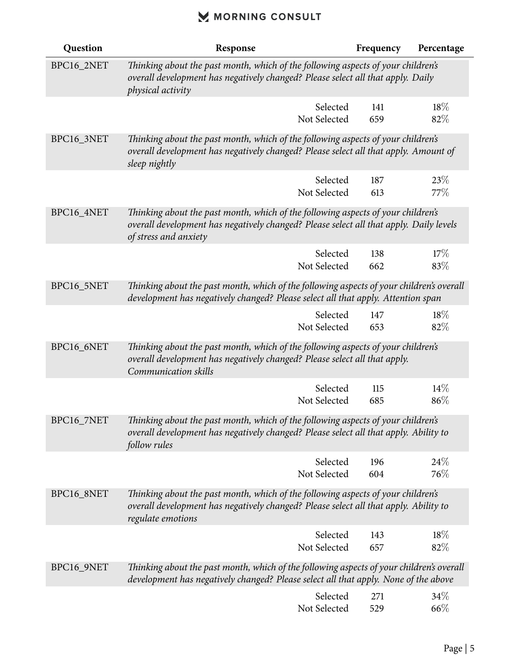| Question   | Response                                                                                                                                                                                            | Frequency | Percentage |
|------------|-----------------------------------------------------------------------------------------------------------------------------------------------------------------------------------------------------|-----------|------------|
| BPC16_2NET | Thinking about the past month, which of the following aspects of your children's<br>overall development has negatively changed? Please select all that apply. Daily<br>physical activity            |           |            |
|            | Selected                                                                                                                                                                                            | 141       | 18%        |
|            | Not Selected                                                                                                                                                                                        | 659       | 82%        |
| BPC16_3NET | Thinking about the past month, which of the following aspects of your children's<br>overall development has negatively changed? Please select all that apply. Amount of<br>sleep nightly            |           |            |
|            | Selected                                                                                                                                                                                            | 187       | 23\%       |
|            | Not Selected                                                                                                                                                                                        | 613       | $77\%$     |
| BPC16_4NET | Thinking about the past month, which of the following aspects of your children's<br>overall development has negatively changed? Please select all that apply. Daily levels<br>of stress and anxiety |           |            |
|            | Selected                                                                                                                                                                                            | 138       | 17%        |
|            | Not Selected                                                                                                                                                                                        | 662       | 83\%       |
| BPC16_5NET | Thinking about the past month, which of the following aspects of your children's overall<br>development has negatively changed? Please select all that apply. Attention span                        |           |            |
|            | Selected                                                                                                                                                                                            | 147       | 18\%       |
|            | Not Selected                                                                                                                                                                                        | 653       | 82\%       |
| BPC16_6NET | Thinking about the past month, which of the following aspects of your children's<br>overall development has negatively changed? Please select all that apply.<br>Communication skills               |           |            |
|            | Selected                                                                                                                                                                                            | 115       | 14%        |
|            | Not Selected                                                                                                                                                                                        | 685       | 86%        |
| BPC16_7NET | Thinking about the past month, which of the following aspects of your children's<br>overall development has negatively changed? Please select all that apply. Ability to<br>follow rules            |           |            |
|            | Selected                                                                                                                                                                                            | 196       | 24\%       |
|            | Not Selected                                                                                                                                                                                        | 604       | 76\%       |
| BPC16_8NET | Thinking about the past month, which of the following aspects of your children's<br>overall development has negatively changed? Please select all that apply. Ability to<br>regulate emotions       |           |            |
|            | Selected                                                                                                                                                                                            | 143       | 18%        |
|            | Not Selected                                                                                                                                                                                        | 657       | 82%        |
| BPC16_9NET | Thinking about the past month, which of the following aspects of your children's overall<br>development has negatively changed? Please select all that apply. None of the above                     |           |            |
|            | Selected                                                                                                                                                                                            | 271       | 34%        |
|            | Not Selected                                                                                                                                                                                        | 529       | 66%        |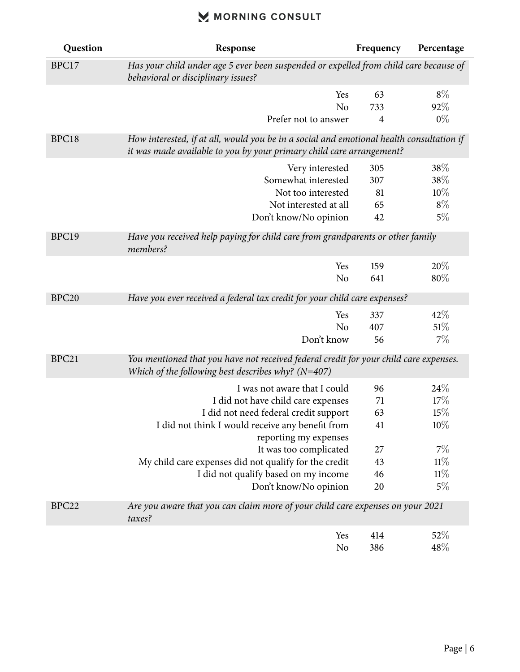| Question          | Response                                                                                                                                                         | Frequency      | Percentage |
|-------------------|------------------------------------------------------------------------------------------------------------------------------------------------------------------|----------------|------------|
| BPC17             | Has your child under age 5 ever been suspended or expelled from child care because of<br>behavioral or disciplinary issues?                                      |                |            |
|                   | Yes                                                                                                                                                              | 63             | $8\%$      |
|                   | N <sub>o</sub>                                                                                                                                                   | 733            | 92%        |
|                   | Prefer not to answer                                                                                                                                             | $\overline{4}$ | $0\%$      |
| BPC18             | How interested, if at all, would you be in a social and emotional health consultation if<br>it was made available to you by your primary child care arrangement? |                |            |
|                   | Very interested                                                                                                                                                  | 305            | 38%        |
|                   | Somewhat interested                                                                                                                                              | 307            | 38%        |
|                   | Not too interested                                                                                                                                               | 81             | 10%        |
|                   | Not interested at all                                                                                                                                            | 65             | $8\%$      |
|                   | Don't know/No opinion                                                                                                                                            | 42             | $5\%$      |
| BPC19             | Have you received help paying for child care from grandparents or other family<br>members?                                                                       |                |            |
|                   | Yes                                                                                                                                                              | 159            | 20%        |
|                   | N <sub>o</sub>                                                                                                                                                   | 641            | 80%        |
| BPC <sub>20</sub> | Have you ever received a federal tax credit for your child care expenses?                                                                                        |                |            |
|                   | Yes                                                                                                                                                              | 337            | 42%        |
|                   | No                                                                                                                                                               | 407            | 51%        |
|                   | Don't know                                                                                                                                                       | 56             | $7\%$      |
| BPC21             | You mentioned that you have not received federal credit for your child care expenses.<br>Which of the following best describes why? ( $N=407$ )                  |                |            |
|                   | I was not aware that I could                                                                                                                                     | 96             | 24%        |
|                   | I did not have child care expenses                                                                                                                               | 71             | 17%        |
|                   | I did not need federal credit support                                                                                                                            | 63             | 15%        |
|                   | I did not think I would receive any benefit from                                                                                                                 | 41             | $10\%$     |
|                   | reporting my expenses                                                                                                                                            |                |            |
|                   | It was too complicated                                                                                                                                           | 27             | 7%         |
|                   | My child care expenses did not qualify for the credit                                                                                                            | 43             | 11%        |
|                   | I did not qualify based on my income                                                                                                                             | 46             | 11%        |
|                   | Don't know/No opinion                                                                                                                                            | 20             | $5\%$      |
| BPC <sub>22</sub> | Are you aware that you can claim more of your child care expenses on your 2021<br>taxes?                                                                         |                |            |
|                   | Yes                                                                                                                                                              | 414            | 52%        |
|                   | No                                                                                                                                                               | 386            | 48\%       |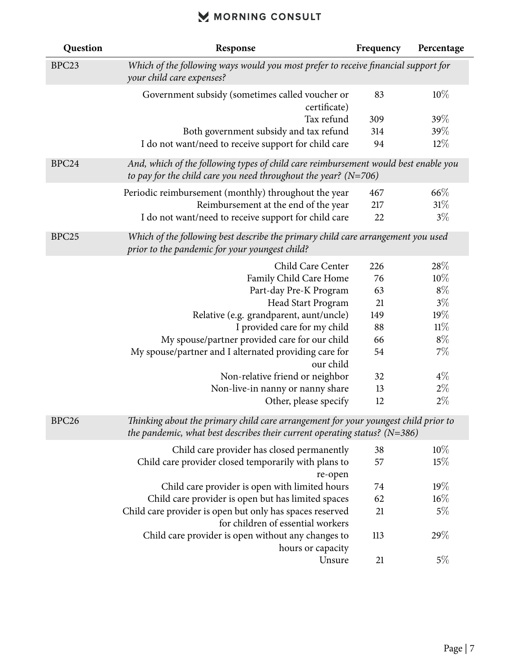| Question          | Response                                                                                                                                                            | Frequency                                                                                                                                                  | Percentage |  |
|-------------------|---------------------------------------------------------------------------------------------------------------------------------------------------------------------|------------------------------------------------------------------------------------------------------------------------------------------------------------|------------|--|
| BPC <sub>23</sub> | your child care expenses?                                                                                                                                           | Which of the following ways would you most prefer to receive financial support for                                                                         |            |  |
|                   | Government subsidy (sometimes called voucher or<br>certificate)                                                                                                     | 83                                                                                                                                                         | 10%        |  |
|                   | Tax refund                                                                                                                                                          | 309                                                                                                                                                        | 39%        |  |
|                   | Both government subsidy and tax refund                                                                                                                              | 314                                                                                                                                                        | 39%        |  |
|                   | I do not want/need to receive support for child care                                                                                                                | 94                                                                                                                                                         | $12\%$     |  |
| BPC24             |                                                                                                                                                                     | And, which of the following types of child care reimbursement would best enable you<br>to pay for the child care you need throughout the year? ( $N=706$ ) |            |  |
|                   | Periodic reimbursement (monthly) throughout the year                                                                                                                | 467                                                                                                                                                        | 66\%       |  |
|                   | Reimbursement at the end of the year                                                                                                                                | 217                                                                                                                                                        | 31%        |  |
|                   | I do not want/need to receive support for child care                                                                                                                | 22                                                                                                                                                         | $3\%$      |  |
| BPC <sub>25</sub> | Which of the following best describe the primary child care arrangement you used<br>prior to the pandemic for your youngest child?                                  |                                                                                                                                                            |            |  |
|                   | Child Care Center                                                                                                                                                   | 226                                                                                                                                                        | 28%        |  |
|                   | Family Child Care Home                                                                                                                                              | 76                                                                                                                                                         | 10%        |  |
|                   | Part-day Pre-K Program                                                                                                                                              | 63                                                                                                                                                         | $8\%$      |  |
|                   | Head Start Program                                                                                                                                                  | 21                                                                                                                                                         | $3\%$      |  |
|                   | Relative (e.g. grandparent, aunt/uncle)                                                                                                                             | 149                                                                                                                                                        | $19\%$     |  |
|                   | I provided care for my child                                                                                                                                        | 88                                                                                                                                                         | 11%        |  |
|                   | My spouse/partner provided care for our child                                                                                                                       | 66                                                                                                                                                         | $8\%$      |  |
|                   | My spouse/partner and I alternated providing care for                                                                                                               | 54                                                                                                                                                         | 7%         |  |
|                   | our child                                                                                                                                                           |                                                                                                                                                            |            |  |
|                   | Non-relative friend or neighbor                                                                                                                                     | 32                                                                                                                                                         | $4\%$      |  |
|                   | Non-live-in nanny or nanny share                                                                                                                                    | 13                                                                                                                                                         | $2\%$      |  |
|                   | Other, please specify                                                                                                                                               | 12                                                                                                                                                         | $2\%$      |  |
| BPC <sub>26</sub> | Thinking about the primary child care arrangement for your youngest child prior to<br>the pandemic, what best describes their current operating status? ( $N=386$ ) |                                                                                                                                                            |            |  |
|                   | Child care provider has closed permanently                                                                                                                          | 38                                                                                                                                                         | 10%        |  |
|                   | Child care provider closed temporarily with plans to                                                                                                                | 57                                                                                                                                                         | 15%        |  |
|                   | re-open                                                                                                                                                             |                                                                                                                                                            |            |  |
|                   | Child care provider is open with limited hours                                                                                                                      | 74                                                                                                                                                         | 19%        |  |
|                   | Child care provider is open but has limited spaces                                                                                                                  | 62                                                                                                                                                         | $16\%$     |  |
|                   | Child care provider is open but only has spaces reserved<br>for children of essential workers                                                                       | 21                                                                                                                                                         | $5\%$      |  |
|                   | Child care provider is open without any changes to                                                                                                                  | 113                                                                                                                                                        | 29%        |  |
|                   | hours or capacity<br>Unsure                                                                                                                                         | 21                                                                                                                                                         | $5\%$      |  |
|                   |                                                                                                                                                                     |                                                                                                                                                            |            |  |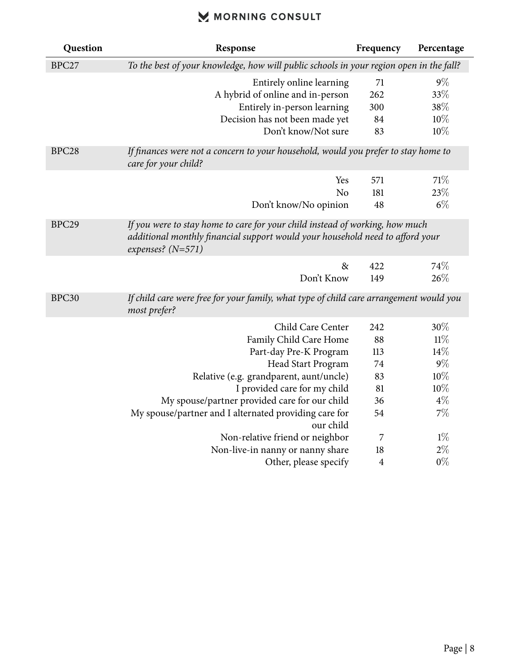| Question          | Response                                                                                                                                                                             | Frequency      | Percentage |  |  |
|-------------------|--------------------------------------------------------------------------------------------------------------------------------------------------------------------------------------|----------------|------------|--|--|
| BPC27             | To the best of your knowledge, how will public schools in your region open in the fall?                                                                                              |                |            |  |  |
|                   | $9\%$<br>Entirely online learning<br>71                                                                                                                                              |                |            |  |  |
|                   | A hybrid of online and in-person                                                                                                                                                     | 262            | 33%        |  |  |
|                   | Entirely in-person learning                                                                                                                                                          | 300            | 38%        |  |  |
|                   | Decision has not been made yet                                                                                                                                                       | 84             | $10\%$     |  |  |
|                   | Don't know/Not sure                                                                                                                                                                  | 83             | 10%        |  |  |
| BPC <sub>28</sub> | If finances were not a concern to your household, would you prefer to stay home to<br>care for your child?                                                                           |                |            |  |  |
|                   | Yes                                                                                                                                                                                  | 571            | 71\%       |  |  |
|                   | No                                                                                                                                                                                   | 181            | 23%        |  |  |
|                   | Don't know/No opinion                                                                                                                                                                | 48             | $6\%$      |  |  |
| BPC <sub>29</sub> | If you were to stay home to care for your child instead of working, how much<br>additional monthly financial support would your household need to afford your<br>expenses? $(N=571)$ |                |            |  |  |
|                   | $\&$                                                                                                                                                                                 | 422            | 74%        |  |  |
|                   | Don't Know                                                                                                                                                                           | 149            | 26%        |  |  |
| BPC30             | If child care were free for your family, what type of child care arrangement would you<br>most prefer?                                                                               |                |            |  |  |
|                   | Child Care Center                                                                                                                                                                    | 242            | 30%        |  |  |
|                   | Family Child Care Home                                                                                                                                                               | 88             | $11\%$     |  |  |
|                   | Part-day Pre-K Program                                                                                                                                                               | 113            | 14\%       |  |  |
|                   | Head Start Program                                                                                                                                                                   | 74             | $9\%$      |  |  |
|                   | Relative (e.g. grandparent, aunt/uncle)                                                                                                                                              | 83             | $10\%$     |  |  |
|                   | I provided care for my child                                                                                                                                                         | 81             | $10\%$     |  |  |
|                   | My spouse/partner provided care for our child                                                                                                                                        | 36             | $4\%$      |  |  |
|                   | My spouse/partner and I alternated providing care for                                                                                                                                | 54             | 7%         |  |  |
|                   | our child                                                                                                                                                                            |                |            |  |  |
|                   | Non-relative friend or neighbor                                                                                                                                                      | 7              | $1\%$      |  |  |
|                   | Non-live-in nanny or nanny share                                                                                                                                                     | 18             | $2\%$      |  |  |
|                   | Other, please specify                                                                                                                                                                | $\overline{4}$ | $0\%$      |  |  |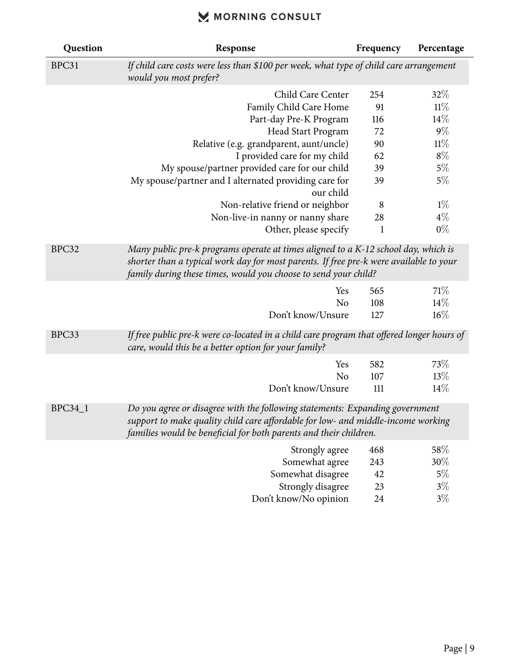| Question       | Response                                                                                                                                                                                                                                        |              | Percentage |
|----------------|-------------------------------------------------------------------------------------------------------------------------------------------------------------------------------------------------------------------------------------------------|--------------|------------|
| BPC31          | If child care costs were less than \$100 per week, what type of child care arrangement                                                                                                                                                          |              |            |
|                | would you most prefer?                                                                                                                                                                                                                          |              |            |
|                | Child Care Center                                                                                                                                                                                                                               | 254          | 32%        |
|                | Family Child Care Home                                                                                                                                                                                                                          | 91           | 11%        |
|                | Part-day Pre-K Program                                                                                                                                                                                                                          | 116          | $14\%$     |
|                | Head Start Program                                                                                                                                                                                                                              | 72           | $9\%$      |
|                | Relative (e.g. grandparent, aunt/uncle)                                                                                                                                                                                                         | 90           | $11\%$     |
|                | I provided care for my child                                                                                                                                                                                                                    | 62           | $8\%$      |
|                | My spouse/partner provided care for our child                                                                                                                                                                                                   | 39           | 5%         |
|                | My spouse/partner and I alternated providing care for                                                                                                                                                                                           | 39           | 5%         |
|                | our child                                                                                                                                                                                                                                       |              |            |
|                | Non-relative friend or neighbor                                                                                                                                                                                                                 | 8            | $1\%$      |
|                | Non-live-in nanny or nanny share                                                                                                                                                                                                                | 28           | $4\%$      |
|                | Other, please specify                                                                                                                                                                                                                           | $\mathbf{1}$ | $0\%$      |
| BPC32          | Many public pre-k programs operate at times aligned to a K-12 school day, which is<br>shorter than a typical work day for most parents. If free pre-k were available to your<br>family during these times, would you choose to send your child? |              |            |
|                | Yes                                                                                                                                                                                                                                             | 565          | 71%        |
|                | N <sub>o</sub>                                                                                                                                                                                                                                  | 108          | 14%        |
|                | Don't know/Unsure                                                                                                                                                                                                                               | 127          | 16%        |
| BPC33          | If free public pre-k were co-located in a child care program that offered longer hours of<br>care, would this be a better option for your family?                                                                                               |              |            |
|                | Yes                                                                                                                                                                                                                                             | 582          | 73%        |
|                | N <sub>o</sub>                                                                                                                                                                                                                                  | 107          | 13%        |
|                | Don't know/Unsure                                                                                                                                                                                                                               | 111          | 14%        |
| <b>BPC34_1</b> | Do you agree or disagree with the following statements: Expanding government<br>support to make quality child care affordable for low- and middle-income working<br>families would be beneficial for both parents and their children.           |              |            |
|                | Strongly agree                                                                                                                                                                                                                                  | 468          | 58\%       |
|                | Somewhat agree                                                                                                                                                                                                                                  | 243          | $30\%$     |
|                | Somewhat disagree                                                                                                                                                                                                                               | 42           | $5\%$      |
|                | Strongly disagree                                                                                                                                                                                                                               | 23           | $3\%$      |
|                | Don't know/No opinion                                                                                                                                                                                                                           | 24           | $3\%$      |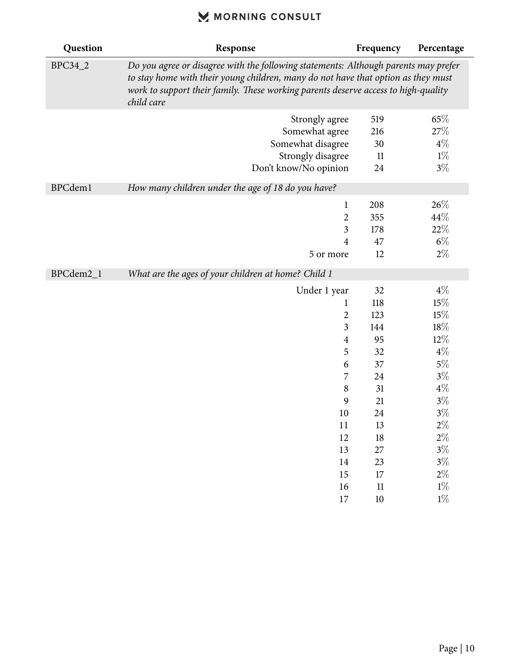| Question  | Response                                                                                                                                                                                                                                                                     | Frequency | Percentage |
|-----------|------------------------------------------------------------------------------------------------------------------------------------------------------------------------------------------------------------------------------------------------------------------------------|-----------|------------|
| BPC34_2   | Do you agree or disagree with the following statements: Although parents may prefer<br>to stay home with their young children, many do not have that option as they must<br>work to support their family. These working parents deserve access to high-quality<br>child care |           |            |
|           | Strongly agree                                                                                                                                                                                                                                                               | 519       | 65%        |
|           | Somewhat agree                                                                                                                                                                                                                                                               | 216       | $27\%$     |
|           | Somewhat disagree                                                                                                                                                                                                                                                            | 30        | $4\%$      |
|           | Strongly disagree                                                                                                                                                                                                                                                            | 11        | $1\%$      |
|           | Don't know/No opinion                                                                                                                                                                                                                                                        | 24        | $3\%$      |
| BPCdem1   | How many children under the age of 18 do you have?                                                                                                                                                                                                                           |           |            |
|           | $\mathbf 1$                                                                                                                                                                                                                                                                  | 208       | 26%        |
|           | $\overline{2}$                                                                                                                                                                                                                                                               | 355       | 44\%       |
|           | 3                                                                                                                                                                                                                                                                            | 178       | 22%        |
|           | $\overline{4}$                                                                                                                                                                                                                                                               | 47        | $6\%$      |
|           | 5 or more                                                                                                                                                                                                                                                                    | 12        | $2\%$      |
| BPCdem2_1 | What are the ages of your children at home? Child 1                                                                                                                                                                                                                          |           |            |
|           | Under 1 year                                                                                                                                                                                                                                                                 | 32        | $4\%$      |
|           | $\mathbf 1$                                                                                                                                                                                                                                                                  | 118       | $15\%$     |
|           | $\overline{2}$                                                                                                                                                                                                                                                               | 123       | 15%        |
|           | 3                                                                                                                                                                                                                                                                            | 144       | 18%        |
|           | $\overline{4}$                                                                                                                                                                                                                                                               | 95        | $12\%$     |
|           | 5                                                                                                                                                                                                                                                                            | 32        | $4\%$      |
|           | 6                                                                                                                                                                                                                                                                            | 37        | $5\%$      |
|           | 7                                                                                                                                                                                                                                                                            | 24        | $3\%$      |
|           | 8                                                                                                                                                                                                                                                                            | 31        | $4\%$      |
|           | 9                                                                                                                                                                                                                                                                            | 21        | $3\%$      |
|           | 10                                                                                                                                                                                                                                                                           | 24        | $3\%$      |
|           | 11                                                                                                                                                                                                                                                                           | 13        | $2\%$      |
|           | 12                                                                                                                                                                                                                                                                           | 18        | $2\%$      |
|           | 13                                                                                                                                                                                                                                                                           | 27        | $3\%$      |
|           | 14                                                                                                                                                                                                                                                                           | 23        | $3\%$      |
|           | 15                                                                                                                                                                                                                                                                           | 17        | $2\%$      |
|           | 16                                                                                                                                                                                                                                                                           | $11\,$    | $1\%$      |
|           | 17                                                                                                                                                                                                                                                                           | 10        | $1\%$      |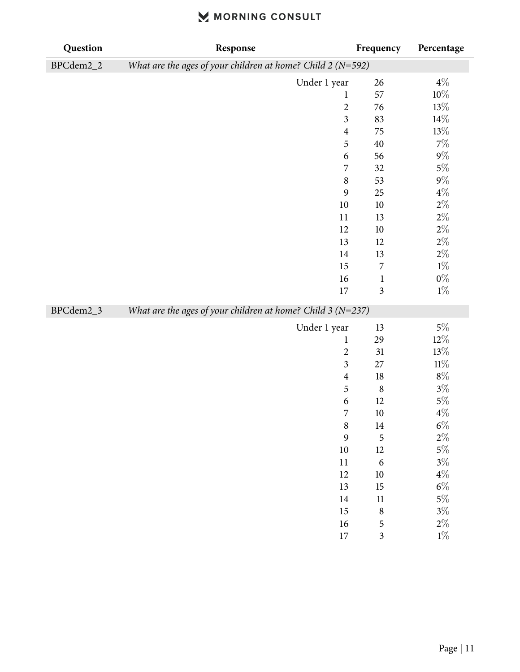|  |  | MORNING CONSULT |  |
|--|--|-----------------|--|
|--|--|-----------------|--|

| Question  | Response                                                      | Frequency        | Percentage |
|-----------|---------------------------------------------------------------|------------------|------------|
| BPCdem2_2 | What are the ages of your children at home? Child 2 (N=592)   |                  |            |
|           | Under 1 year                                                  | 26               | $4\%$      |
|           | $\mathbf{1}$                                                  | 57               | $10\%$     |
|           | $\sqrt{2}$                                                    | 76               | $13\%$     |
|           | $\mathfrak{Z}$                                                | 83               | $14\%$     |
|           | $\boldsymbol{4}$                                              | 75               | $13\%$     |
|           | 5                                                             | 40               | $7\%$      |
|           | 6                                                             | 56               | $9\%$      |
|           | $\boldsymbol{7}$                                              | 32               | $5\%$      |
|           | $\,8\,$                                                       | 53               | $9\%$      |
|           | 9                                                             | 25               | $4\%$      |
|           | 10                                                            | $10$             | $2\%$      |
|           | 11                                                            | 13               | $2\%$      |
|           | 12                                                            | 10               | $2\%$      |
|           | 13                                                            | 12               | $2\%$      |
|           | 14                                                            | 13               | $2\%$      |
|           | 15                                                            | $\boldsymbol{7}$ | $1\%$      |
|           | 16                                                            | $\mathbf 1$      | $0\%$      |
|           | 17                                                            | $\overline{3}$   | $1\%$      |
| BPCdem2_3 | What are the ages of your children at home? Child $3 (N=237)$ |                  |            |
|           | Under 1 year                                                  | 13               | $5\%$      |
|           | $\mathbf{1}$                                                  | 29               | $12\%$     |
|           | $\boldsymbol{2}$                                              | 31               | $13\%$     |
|           | $\mathfrak{Z}$                                                | $27\,$           | $11\%$     |
|           | $\boldsymbol{4}$                                              | 18               | $8\%$      |
|           | 5                                                             | 8                | $3\%$      |
|           | 6                                                             | 12               | $5\%$      |
|           | $\boldsymbol{7}$                                              | 10               | $4\%$      |
|           | $\boldsymbol{8}$                                              | 14               | $6\%$      |
|           | 9                                                             | 5                | $2\%$      |
|           | 10                                                            | 12               | $5\%$      |
|           | $11\,$                                                        | $\boldsymbol{6}$ | $3\%$      |
|           | 12                                                            | 10               | $4\%$      |
|           | 13                                                            | 15               | $6\%$      |
|           | 14                                                            | $11\phantom{.0}$ | $5\%$      |
|           | 15                                                            | $\,8\,$          | $3\%$      |
|           | 16                                                            | 5                | $2\%$      |
|           | $17\,$                                                        | $\mathfrak{Z}$   | $1\%$      |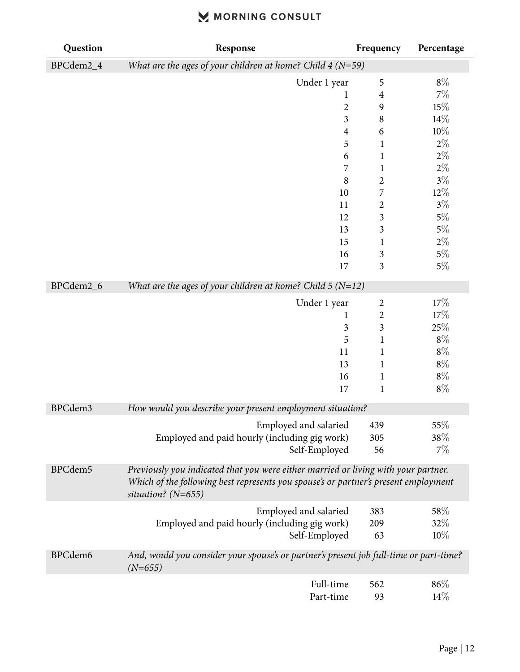| Question  | Response                                                                                                      | Frequency               | Percentage |  |
|-----------|---------------------------------------------------------------------------------------------------------------|-------------------------|------------|--|
| BPCdem2_4 | What are the ages of your children at home? Child $4 (N=59)$                                                  |                         |            |  |
|           | Under 1 year                                                                                                  | 5                       | $8\%$      |  |
|           | $\mathbf 1$                                                                                                   | $\overline{4}$          | 7%         |  |
|           | $\overline{2}$                                                                                                | 9                       | 15%        |  |
|           | 3                                                                                                             | $\,$ 8 $\,$             | $14\%$     |  |
|           | $\overline{4}$                                                                                                | 6                       | $10\%$     |  |
|           | 5                                                                                                             | $\mathbf 1$             | $2\%$      |  |
|           | 6                                                                                                             | $\mathbf 1$             | $2\%$      |  |
|           | 7                                                                                                             | $\mathbf{1}$            | $2\%$      |  |
|           | $\,$ 8 $\,$                                                                                                   | $\overline{c}$          | $3\%$      |  |
|           | 10                                                                                                            | 7                       | $12\%$     |  |
|           | 11                                                                                                            | $\overline{\mathbf{c}}$ | $3\%$      |  |
|           | 12                                                                                                            | 3                       | $5\%$      |  |
|           | 13                                                                                                            | 3                       | $5\%$      |  |
|           | 15                                                                                                            | $\mathbf 1$             | $2\%$      |  |
|           | 16                                                                                                            | $\mathfrak{Z}$          | $5\%$      |  |
|           | 17                                                                                                            | 3                       | $5\%$      |  |
| BPCdem2_6 | What are the ages of your children at home? Child $5 (N=12)$                                                  |                         |            |  |
|           |                                                                                                               |                         |            |  |
|           | Under 1 year                                                                                                  | $\overline{\mathbf{c}}$ | 17%        |  |
|           | $\mathbf{1}$                                                                                                  | $\overline{\mathbf{c}}$ | $17\%$     |  |
|           | $\mathfrak{Z}$                                                                                                | $\mathfrak{Z}$          | $25\%$     |  |
|           | 5                                                                                                             | 1                       | $8\%$      |  |
|           | 11                                                                                                            | 1                       | $8\%$      |  |
|           | 13                                                                                                            | 1                       | $8\%$      |  |
|           | 16                                                                                                            | $\mathbf{1}$            | $8\%$      |  |
|           | 17                                                                                                            | $\mathbf{1}$            | $8\%$      |  |
| BPCdem3   | How would you describe your present employment situation?                                                     |                         |            |  |
|           | Employed and salaried                                                                                         | 439                     | $55\%$     |  |
|           | Employed and paid hourly (including gig work)                                                                 | 305                     | 38%        |  |
|           | Self-Employed                                                                                                 | 56                      | 7%         |  |
| BPCdem5   | Previously you indicated that you were either married or living with your partner.                            |                         |            |  |
|           | Which of the following best represents you spouse's or partner's present employment<br>situation? ( $N=655$ ) |                         |            |  |
|           | Employed and salaried                                                                                         | 383                     | 58\%       |  |
|           | Employed and paid hourly (including gig work)                                                                 | 209                     | 32%        |  |
|           | Self-Employed                                                                                                 | 63                      | 10%        |  |
| BPCdem6   | And, would you consider your spouse's or partner's present job full-time or part-time?<br>$(N=655)$           |                         |            |  |
|           | Full-time                                                                                                     | 562                     | 86%        |  |
|           | Part-time                                                                                                     | 93                      | $14\%$     |  |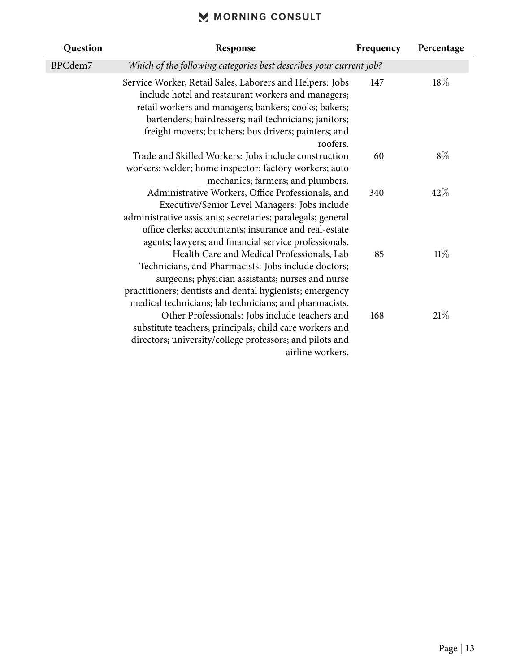| Question | Response                                                                                                                                                                                                                                                                                            | Frequency | Percentage |
|----------|-----------------------------------------------------------------------------------------------------------------------------------------------------------------------------------------------------------------------------------------------------------------------------------------------------|-----------|------------|
| BPCdem7  | Which of the following categories best describes your current job?                                                                                                                                                                                                                                  |           |            |
|          | Service Worker, Retail Sales, Laborers and Helpers: Jobs<br>include hotel and restaurant workers and managers;<br>retail workers and managers; bankers; cooks; bakers;<br>bartenders; hairdressers; nail technicians; janitors;<br>freight movers; butchers; bus drivers; painters; and<br>roofers. | 147       | 18%        |
|          | Trade and Skilled Workers: Jobs include construction<br>workers; welder; home inspector; factory workers; auto<br>mechanics; farmers; and plumbers.                                                                                                                                                 | 60        | $8\%$      |
|          | Administrative Workers, Office Professionals, and<br>Executive/Senior Level Managers: Jobs include<br>administrative assistants; secretaries; paralegals; general<br>office clerks; accountants; insurance and real-estate<br>agents; lawyers; and financial service professionals.                 | 340       | 42%        |
|          | Health Care and Medical Professionals, Lab<br>Technicians, and Pharmacists: Jobs include doctors;<br>surgeons; physician assistants; nurses and nurse<br>practitioners; dentists and dental hygienists; emergency<br>medical technicians; lab technicians; and pharmacists.                         | 85        | $11\%$     |
|          | Other Professionals: Jobs include teachers and<br>substitute teachers; principals; child care workers and<br>directors; university/college professors; and pilots and<br>airline workers.                                                                                                           | 168       | 21%        |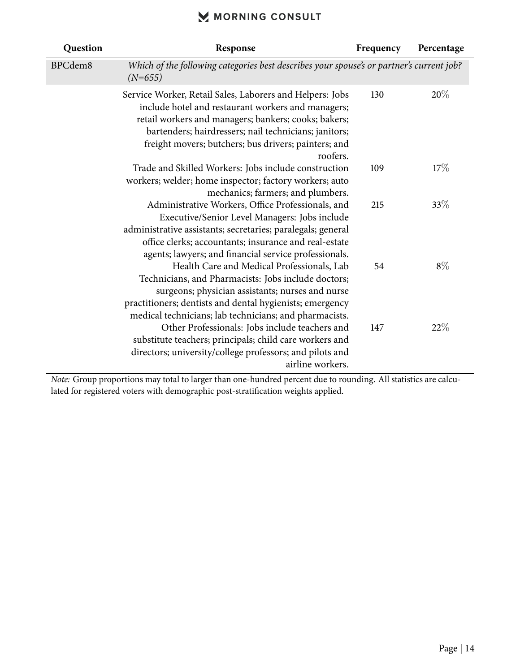| Question | Response                                                                                                                                                                                                                                                                                            | Frequency | Percentage |
|----------|-----------------------------------------------------------------------------------------------------------------------------------------------------------------------------------------------------------------------------------------------------------------------------------------------------|-----------|------------|
| BPCdem8  | Which of the following categories best describes your spouse's or partner's current job?<br>$(N=655)$                                                                                                                                                                                               |           |            |
|          | Service Worker, Retail Sales, Laborers and Helpers: Jobs<br>include hotel and restaurant workers and managers;<br>retail workers and managers; bankers; cooks; bakers;<br>bartenders; hairdressers; nail technicians; janitors;<br>freight movers; butchers; bus drivers; painters; and<br>roofers. | 130       | 20%        |
|          | Trade and Skilled Workers: Jobs include construction<br>workers; welder; home inspector; factory workers; auto<br>mechanics; farmers; and plumbers.                                                                                                                                                 | 109       | 17%        |
|          | Administrative Workers, Office Professionals, and<br>Executive/Senior Level Managers: Jobs include<br>administrative assistants; secretaries; paralegals; general<br>office clerks; accountants; insurance and real-estate<br>agents; lawyers; and financial service professionals.                 | 215       | 33%        |
|          | Health Care and Medical Professionals, Lab<br>Technicians, and Pharmacists: Jobs include doctors;<br>surgeons; physician assistants; nurses and nurse<br>practitioners; dentists and dental hygienists; emergency<br>medical technicians; lab technicians; and pharmacists.                         | 54        | $8\%$      |
|          | Other Professionals: Jobs include teachers and<br>substitute teachers; principals; child care workers and<br>directors; university/college professors; and pilots and<br>airline workers.                                                                                                           | 147       | 22%        |

*Note:* Group proportions may total to larger than one-hundred percent due to rounding. All statistics are calculated for registered voters with demographic post-stratification weights applied.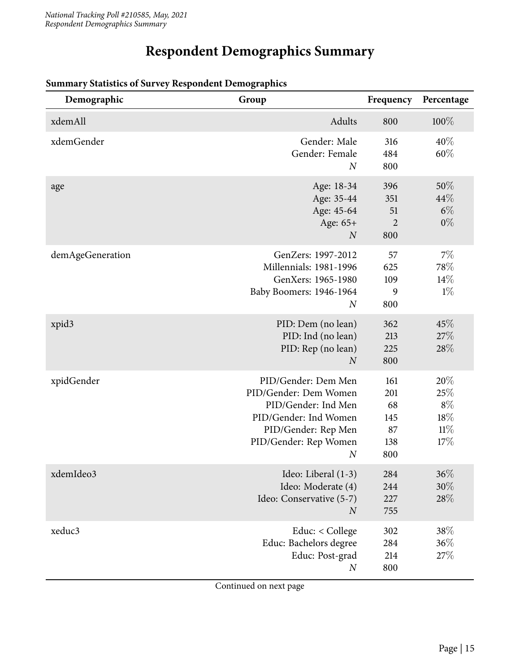## **Respondent Demographics Summary**

| Demographic       | Group                                                                                                                                                            | Frequency                                   | Percentage                               |
|-------------------|------------------------------------------------------------------------------------------------------------------------------------------------------------------|---------------------------------------------|------------------------------------------|
| xdemAll           | Adults                                                                                                                                                           | 800                                         | $100\%$                                  |
| xdemGender        | Gender: Male<br>Gender: Female<br>$\boldsymbol{N}$                                                                                                               | 316<br>484<br>800                           | 40%<br>$60\%$                            |
| age               | Age: 18-34<br>Age: 35-44<br>Age: 45-64<br>Age: 65+<br>$\boldsymbol{N}$                                                                                           | 396<br>351<br>51<br>2<br>800                | $50\%$<br>44%<br>$6\%$<br>$0\%$          |
| demAgeGeneration  | GenZers: 1997-2012<br>Millennials: 1981-1996<br>GenXers: 1965-1980<br>Baby Boomers: 1946-1964<br>$\boldsymbol{N}$                                                | 57<br>625<br>109<br>9<br>800                | 7%<br>78%<br>14%<br>$1\%$                |
| xpid <sub>3</sub> | PID: Dem (no lean)<br>PID: Ind (no lean)<br>PID: Rep (no lean)<br>$\overline{N}$                                                                                 | 362<br>213<br>225<br>800                    | 45%<br>27%<br>28%                        |
| xpidGender        | PID/Gender: Dem Men<br>PID/Gender: Dem Women<br>PID/Gender: Ind Men<br>PID/Gender: Ind Women<br>PID/Gender: Rep Men<br>PID/Gender: Rep Women<br>$\boldsymbol{N}$ | 161<br>201<br>68<br>145<br>87<br>138<br>800 | 20%<br>25%<br>$8\%$<br>18%<br>11%<br>17% |
| xdemIdeo3         | Ideo: Liberal (1-3)<br>Ideo: Moderate (4)<br>Ideo: Conservative (5-7)<br>$\boldsymbol{N}$                                                                        | 284<br>244<br>227<br>755                    | $36\%$<br>$30\%$<br>28%                  |
| xeduc3            | Educ: < College<br>Educ: Bachelors degree<br>Educ: Post-grad<br>$\boldsymbol{N}$                                                                                 | 302<br>284<br>214<br>800                    | 38%<br>36%<br>27%                        |

#### **Summary Statistics of Survey Respondent Demographics**

Continued on next page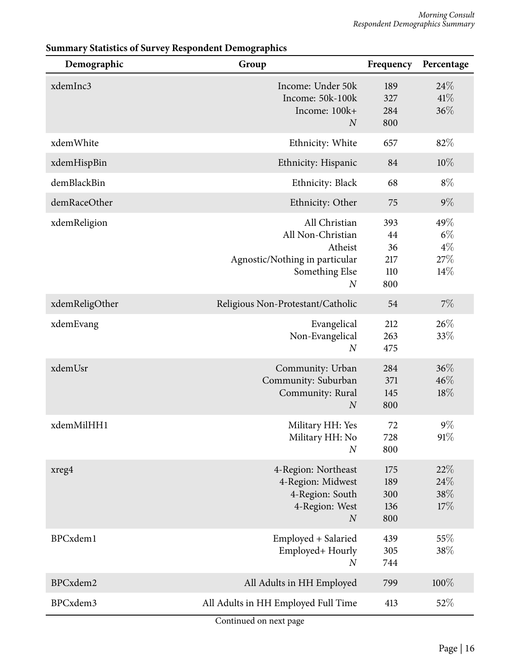| Demographic    | Group                                                                                                                 | Frequency                            | Percentage                          |
|----------------|-----------------------------------------------------------------------------------------------------------------------|--------------------------------------|-------------------------------------|
| xdemInc3       | Income: Under 50k<br>Income: 50k-100k<br>Income: 100k+<br>$\boldsymbol{N}$                                            | 189<br>327<br>284<br>800             | 24\%<br>41%<br>36%                  |
| xdemWhite      | Ethnicity: White                                                                                                      | 657                                  | 82%                                 |
| xdemHispBin    | Ethnicity: Hispanic                                                                                                   | 84                                   | 10%                                 |
| demBlackBin    | Ethnicity: Black                                                                                                      | 68                                   | $8\%$                               |
| demRaceOther   | Ethnicity: Other                                                                                                      | 75                                   | $9\%$                               |
| xdemReligion   | All Christian<br>All Non-Christian<br>Atheist<br>Agnostic/Nothing in particular<br>Something Else<br>$\boldsymbol{N}$ | 393<br>44<br>36<br>217<br>110<br>800 | 49%<br>$6\%$<br>$4\%$<br>27%<br>14% |
| xdemReligOther | Religious Non-Protestant/Catholic                                                                                     | 54                                   | 7%                                  |
| xdemEvang      | Evangelical<br>Non-Evangelical<br>$\boldsymbol{N}$                                                                    | 212<br>263<br>475                    | 26%<br>33%                          |
| xdemUsr        | Community: Urban<br>Community: Suburban<br>Community: Rural<br>$\boldsymbol{N}$                                       | 284<br>371<br>145<br>800             | $36\%$<br>46%<br>18%                |
| xdemMilHH1     | Military HH: Yes<br>Military HH: No<br>$\boldsymbol{N}$                                                               | 72<br>728<br>800                     | $9\%$<br>$91\%$                     |
| xreg4          | 4-Region: Northeast<br>4-Region: Midwest<br>4-Region: South<br>4-Region: West<br>$\boldsymbol{N}$                     | 175<br>189<br>300<br>136<br>800      | 22%<br>24%<br>38\%<br>17%           |
| BPCxdem1       | Employed + Salaried<br>Employed+ Hourly<br>$\boldsymbol{N}$                                                           | 439<br>305<br>744                    | 55%<br>38\%                         |
| BPCxdem2       | All Adults in HH Employed                                                                                             | 799                                  | $100\%$                             |
| BPCxdem3       | All Adults in HH Employed Full Time                                                                                   | 413                                  | 52%                                 |

#### **Summary Statistics of Survey Respondent Demographics**

Continued on next page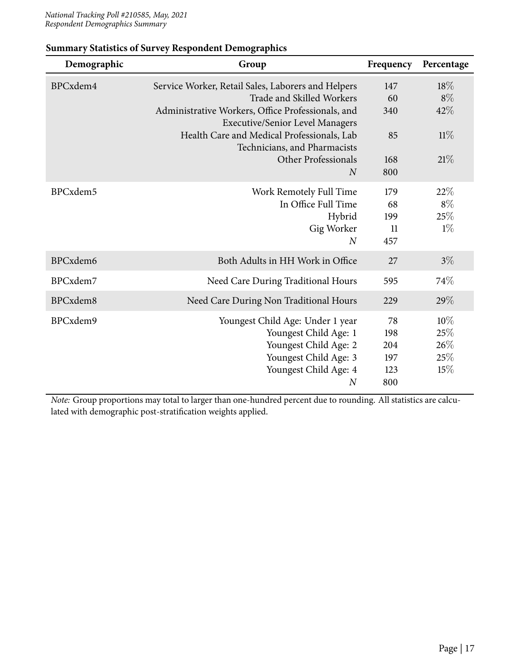| Demographic | Group                                                                                                                                                                                                                                                                                                        | Frequency                             | Percentage                           |
|-------------|--------------------------------------------------------------------------------------------------------------------------------------------------------------------------------------------------------------------------------------------------------------------------------------------------------------|---------------------------------------|--------------------------------------|
| BPCxdem4    | Service Worker, Retail Sales, Laborers and Helpers<br>Trade and Skilled Workers<br>Administrative Workers, Office Professionals, and<br><b>Executive/Senior Level Managers</b><br>Health Care and Medical Professionals, Lab<br>Technicians, and Pharmacists<br><b>Other Professionals</b><br>$\overline{N}$ | 147<br>60<br>340<br>85<br>168<br>800  | 18%<br>$8\%$<br>42%<br>$11\%$<br>21% |
| BPCxdem5    | Work Remotely Full Time<br>In Office Full Time<br>Hybrid<br>Gig Worker<br>$\boldsymbol{N}$                                                                                                                                                                                                                   | 179<br>68<br>199<br>11<br>457         | 22%<br>$8\%$<br>25%<br>$1\%$         |
| BPCxdem6    | Both Adults in HH Work in Office                                                                                                                                                                                                                                                                             | 27                                    | $3\%$                                |
| BPCxdem7    | Need Care During Traditional Hours                                                                                                                                                                                                                                                                           | 595                                   | 74\%                                 |
| BPCxdem8    | Need Care During Non Traditional Hours                                                                                                                                                                                                                                                                       | 229                                   | 29%                                  |
| BPCxdem9    | Youngest Child Age: Under 1 year<br>Youngest Child Age: 1<br>Youngest Child Age: 2<br>Youngest Child Age: 3<br>Youngest Child Age: 4<br>$\overline{N}$                                                                                                                                                       | 78<br>198<br>204<br>197<br>123<br>800 | $10\%$<br>25%<br>26%<br>25%<br>15%   |

#### **Summary Statistics of Survey Respondent Demographics**

*Note:* Group proportions may total to larger than one-hundred percent due to rounding. All statistics are calculated with demographic post-stratification weights applied.